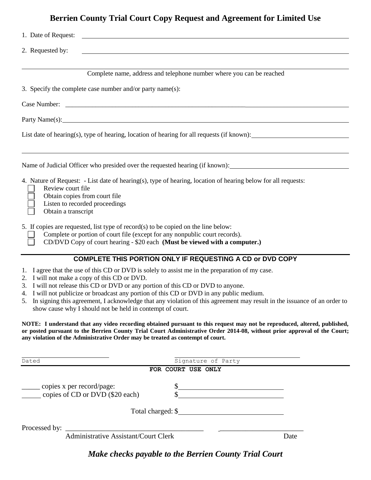|                                                                                                                                                                                                                                                                                                                                                                                                                                                                             |                    | <b>Berrien County Trial Court Copy Request and Agreement for Limited Use</b>                                                                                                                                                                                                                                                                                                                                                                          |
|-----------------------------------------------------------------------------------------------------------------------------------------------------------------------------------------------------------------------------------------------------------------------------------------------------------------------------------------------------------------------------------------------------------------------------------------------------------------------------|--------------------|-------------------------------------------------------------------------------------------------------------------------------------------------------------------------------------------------------------------------------------------------------------------------------------------------------------------------------------------------------------------------------------------------------------------------------------------------------|
| 1. Date of Request:<br><u> 1989 - Johann Harry Harry Harry Harry Harry Harry Harry Harry Harry Harry Harry Harry Harry Harry Harry Harry</u>                                                                                                                                                                                                                                                                                                                                |                    |                                                                                                                                                                                                                                                                                                                                                                                                                                                       |
| 2. Requested by:                                                                                                                                                                                                                                                                                                                                                                                                                                                            |                    |                                                                                                                                                                                                                                                                                                                                                                                                                                                       |
|                                                                                                                                                                                                                                                                                                                                                                                                                                                                             |                    | Complete name, address and telephone number where you can be reached                                                                                                                                                                                                                                                                                                                                                                                  |
| 3. Specify the complete case number and/or party name(s):                                                                                                                                                                                                                                                                                                                                                                                                                   |                    |                                                                                                                                                                                                                                                                                                                                                                                                                                                       |
|                                                                                                                                                                                                                                                                                                                                                                                                                                                                             |                    |                                                                                                                                                                                                                                                                                                                                                                                                                                                       |
|                                                                                                                                                                                                                                                                                                                                                                                                                                                                             |                    |                                                                                                                                                                                                                                                                                                                                                                                                                                                       |
|                                                                                                                                                                                                                                                                                                                                                                                                                                                                             |                    | List date of hearing(s), type of hearing, location of hearing for all requests (if known):                                                                                                                                                                                                                                                                                                                                                            |
|                                                                                                                                                                                                                                                                                                                                                                                                                                                                             |                    | Name of Judicial Officer who presided over the requested hearing (if known):                                                                                                                                                                                                                                                                                                                                                                          |
| 4. Nature of Request: - List date of hearing(s), type of hearing, location of hearing below for all requests:<br>Review court file<br>Obtain copies from court file<br>Listen to recorded proceedings<br>Obtain a transcript                                                                                                                                                                                                                                                |                    |                                                                                                                                                                                                                                                                                                                                                                                                                                                       |
| 5. If copies are requested, list type of record(s) to be copied on the line below:<br>Complete or portion of court file (except for any nonpublic court records).<br>CD/DVD Copy of court hearing - \$20 each (Must be viewed with a computer.)                                                                                                                                                                                                                             |                    |                                                                                                                                                                                                                                                                                                                                                                                                                                                       |
| 1. I agree that the use of this CD or DVD is solely to assist me in the preparation of my case.<br>2. I will not make a copy of this CD or DVD.<br>I will not release this CD or DVD or any portion of this CD or DVD to anyone.<br>4. I will not publicize or broadcast any portion of this CD or DVD in any public medium.<br>show cause why I should not be held in contempt of court.<br>any violation of the Administrative Order may be treated as contempt of court. |                    | <b>COMPLETE THIS PORTION ONLY IF REQUESTING A CD or DVD COPY</b><br>5. In signing this agreement, I acknowledge that any violation of this agreement may result in the issuance of an order to<br>NOTE: I understand that any video recording obtained pursuant to this request may not be reproduced, altered, published,<br>or posted pursuant to the Berrien County Trial Court Administrative Order 2014-08, without prior approval of the Court; |
|                                                                                                                                                                                                                                                                                                                                                                                                                                                                             |                    |                                                                                                                                                                                                                                                                                                                                                                                                                                                       |
| Dated                                                                                                                                                                                                                                                                                                                                                                                                                                                                       | FOR COURT USE ONLY | Signature of Party                                                                                                                                                                                                                                                                                                                                                                                                                                    |
| copies x per record/page:<br>copies of CD or DVD (\$20 each)                                                                                                                                                                                                                                                                                                                                                                                                                |                    | $\frac{\text{S}}{\text{S}}$                                                                                                                                                                                                                                                                                                                                                                                                                           |
|                                                                                                                                                                                                                                                                                                                                                                                                                                                                             |                    | Total charged: \$                                                                                                                                                                                                                                                                                                                                                                                                                                     |
| Administrative Assistant/Court Clerk<br>Processed by:                                                                                                                                                                                                                                                                                                                                                                                                                       |                    |                                                                                                                                                                                                                                                                                                                                                                                                                                                       |
|                                                                                                                                                                                                                                                                                                                                                                                                                                                                             |                    | Date                                                                                                                                                                                                                                                                                                                                                                                                                                                  |
|                                                                                                                                                                                                                                                                                                                                                                                                                                                                             |                    |                                                                                                                                                                                                                                                                                                                                                                                                                                                       |

*Make checks payable to the Berrien County Trial Court*